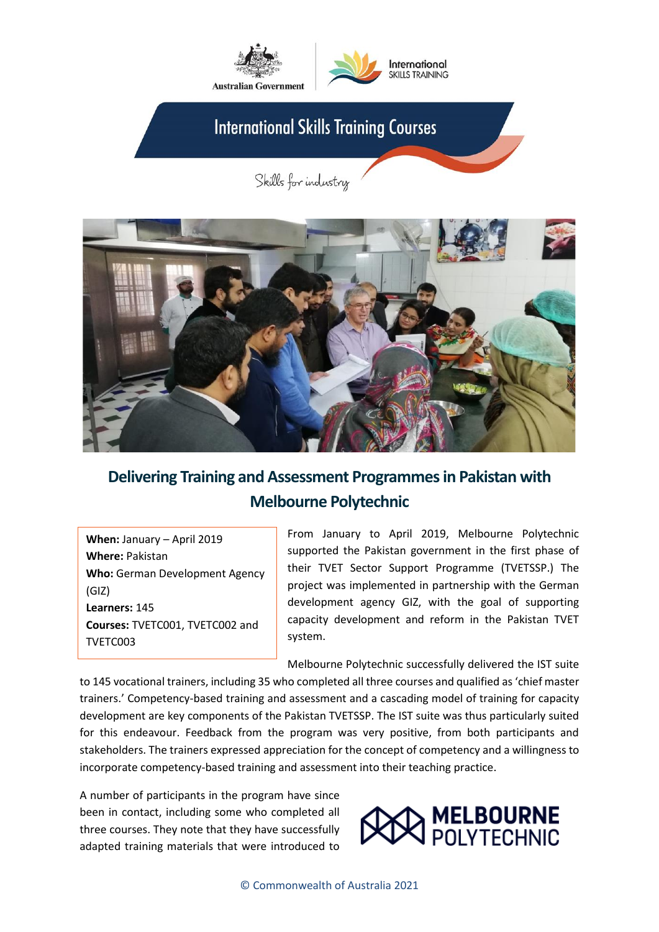

## **International Skills Training Courses**

Skills for industry



## **Delivering Training and Assessment Programmes in Pakistan with Melbourne Polytechnic**

**When:** January – April 2019 **Where:** Pakistan **Who:** German Development Agency (GIZ) **Learners:** 145 **Courses:** TVETC001, TVETC002 and TVETC003

From January to April 2019, Melbourne Polytechnic supported the Pakistan government in the first phase of their TVET Sector Support Programme (TVETSSP.) The project was implemented in partnership with the German development agency GIZ, with the goal of supporting capacity development and reform in the Pakistan TVET system.

Melbourne Polytechnic successfully delivered the IST suite

to 145 vocational trainers, including 35 who completed all three courses and qualified as 'chief master trainers.' Competency-based training and assessment and a cascading model of training for capacity development are key components of the Pakistan TVETSSP. The IST suite was thus particularly suited for this endeavour. Feedback from the program was very positive, from both participants and stakeholders. The trainers expressed appreciation for the concept of competency and a willingness to incorporate competency-based training and assessment into their teaching practice.

A number of participants in the program have since been in contact, including some who completed all three courses. They note that they have successfully adapted training materials that were introduced to